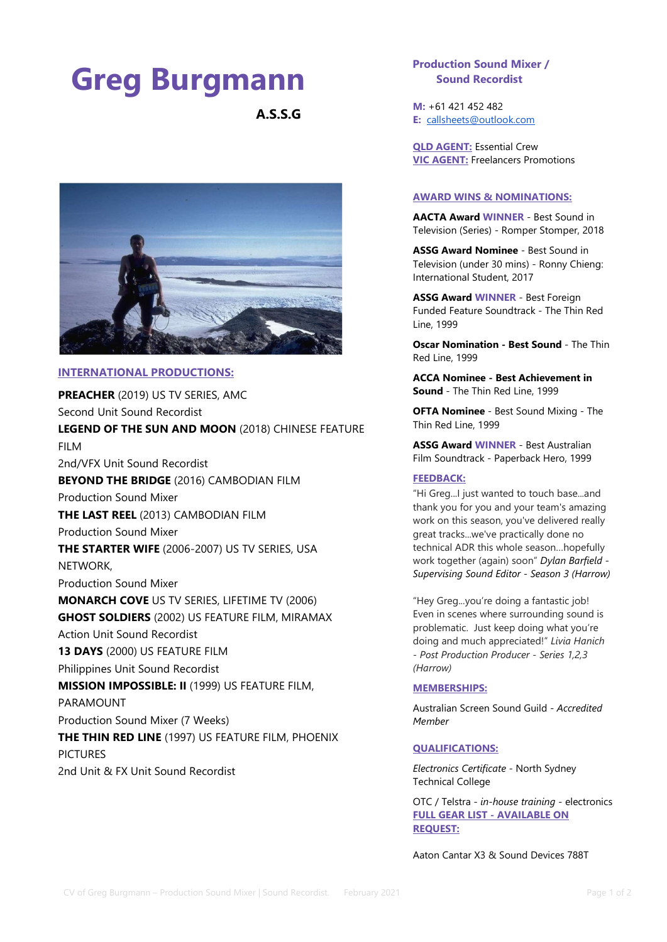# Greg Burgmann

A.S.S.G



## INTERNATIONAL PRODUCTIONS:

PREACHER (2019) US TV SERIES, AMC Second Unit Sound Recordist LEGEND OF THE SUN AND MOON (2018) CHINESE FEATURE FILM 2nd/VFX Unit Sound Recordist BEYOND THE BRIDGE (2016) CAMBODIAN FILM Production Sound Mixer THE LAST REEL (2013) CAMBODIAN FILM Production Sound Mixer THE STARTER WIFE (2006-2007) US TV SERIES, USA NETWORK, Production Sound Mixer MONARCH COVE US TV SERIES, LIFETIME TV (2006) GHOST SOLDIERS (2002) US FEATURE FILM, MIRAMAX Action Unit Sound Recordist 13 DAYS (2000) US FEATURE FILM Philippines Unit Sound Recordist MISSION IMPOSSIBLE: II (1999) US FEATURE FILM, PARAMOUNT Production Sound Mixer (7 Weeks) **THE THIN RED LINE** (1997) US FEATURE FILM, PHOENIX PICTURES 2nd Unit & FX Unit Sound Recordist

# Production Sound Mixer / Sound Recordist

M: +61 421 452 482 E: callsheets@outlook.com

QLD AGENT: Essential Crew VIC AGENT: Freelancers Promotions

### AWARD WINS & NOMINATIONS:

AACTA Award WINNER - Best Sound in Television (Series) - Romper Stomper, 2018

ASSG Award Nominee - Best Sound in Television (under 30 mins) - Ronny Chieng: International Student, 2017

ASSG Award WINNER - Best Foreign Funded Feature Soundtrack - The Thin Red Line, 1999

Oscar Nomination - Best Sound - The Thin Red Line, 1999

ACCA Nominee - Best Achievement in Sound - The Thin Red Line, 1999

OFTA Nominee - Best Sound Mixing - The Thin Red Line, 1999

ASSG Award WINNER - Best Australian Film Soundtrack - Paperback Hero, 1999

## FEEDBACK:

"Hi Greg...I just wanted to touch base...and thank you for you and your team's amazing work on this season, you've delivered really great tracks...we've practically done no technical ADR this whole season…hopefully work together (again) soon" Dylan Barfield - Supervising Sound Editor - Season 3 (Harrow)

"Hey Greg...you're doing a fantastic job! Even in scenes where surrounding sound is problematic. Just keep doing what you're doing and much appreciated!" Livia Hanich - Post Production Producer - Series 1,2,3 (Harrow)

#### MEMBERSHIPS:

Australian Screen Sound Guild - Accredited Member

## QUALIFICATIONS:

Electronics Certificate - North Sydney Technical College

OTC / Telstra - in-house training - electronics FULL GEAR LIST - AVAILABLE ON REQUEST:

Aaton Cantar X3 & Sound Devices 788T